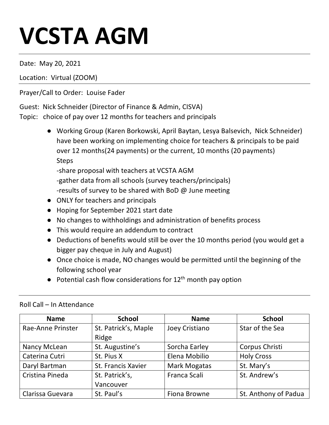# **VCSTA AGM**

Date: May 20, 2021

Location: Virtual (ZOOM)

Prayer/Call to Order: Louise Fader

Guest: Nick Schneider (Director of Finance & Admin, CISVA) Topic: choice of pay over 12 months for teachers and principals

> ● Working Group (Karen Borkowski, April Baytan, Lesya Balsevich, Nick Schneider) have been working on implementing choice for teachers & principals to be paid over 12 months(24 payments) or the current, 10 months (20 payments) Steps -share proposal with teachers at VCSTA AGM

-gather data from all schools (survey teachers/principals)

-results of survey to be shared with BoD @ June meeting

- ONLY for teachers and principals
- Hoping for September 2021 start date
- No changes to withholdings and administration of benefits process
- This would require an addendum to contract
- Deductions of benefits would still be over the 10 months period (you would get a bigger pay cheque in July and August)
- Once choice is made, NO changes would be permitted until the beginning of the following school year
- $\bullet$  Potential cash flow considerations for 12<sup>th</sup> month pay option

| <b>Name</b>       | <b>School</b>        | <b>Name</b>         | <b>School</b>        |
|-------------------|----------------------|---------------------|----------------------|
| Rae-Anne Prinster | St. Patrick's, Maple | Joey Cristiano      | Star of the Sea      |
|                   | Ridge                |                     |                      |
| Nancy McLean      | St. Augustine's      | Sorcha Earley       | Corpus Christi       |
| Caterina Cutri    | St. Pius X           | Elena Mobilio       | <b>Holy Cross</b>    |
| Daryl Bartman     | St. Francis Xavier   | Mark Mogatas        | St. Mary's           |
| Cristina Pineda   | St. Patrick's,       | Franca Scali        | St. Andrew's         |
|                   | Vancouver            |                     |                      |
| Clarissa Guevara  | St. Paul's           | <b>Fiona Browne</b> | St. Anthony of Padua |

Roll Call – In Attendance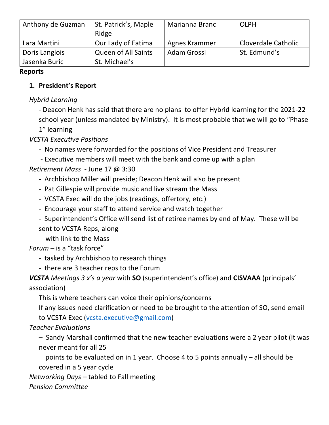| Anthony de Guzman | St. Patrick's, Maple       | <b>Marianna Branc</b> | <b>OLPH</b>         |
|-------------------|----------------------------|-----------------------|---------------------|
|                   | Ridge                      |                       |                     |
| Lara Martini      | Our Lady of Fatima         | Agnes Krammer         | Cloverdale Catholic |
| Doris Langlois    | <b>Queen of All Saints</b> | Adam Grossi           | St. Edmund's        |
| Jasenka Buric     | St. Michael's              |                       |                     |

#### **Reports**

#### **1. President's Report**

#### *Hybrid Learning*

- Deacon Henk has said that there are no plans to offer Hybrid learning for the 2021-22 school year (unless mandated by Ministry). It is most probable that we will go to "Phase

1" learning

## *VCSTA Executive Positions*

- No names were forwarded for the positions of Vice President and Treasurer
- Executive members will meet with the bank and come up with a plan

#### *Retirement Mass* - June 17 @ 3:30

- Archbishop Miller will preside; Deacon Henk will also be present
- Pat Gillespie will provide music and live stream the Mass
- VCSTA Exec will do the jobs (readings, offertory, etc.)
- Encourage your staff to attend service and watch together
- Superintendent's Office will send list of retiree names by end of May. These will be sent to VCSTA Reps, along

with link to the Mass

## *Forum –* is a "task force"

- tasked by Archbishop to research things
- there are 3 teacher reps to the Forum

# *VCSTA Meetings 3 x's a year* with **SO** (superintendent's office) and **CISVAAA** (principals' association)

This is where teachers can voice their opinions/concerns

If any issues need clarification or need to be brought to the attention of SO, send email to VCSTA Exec (vcsta.executive@gmail.com)

## *Teacher Evaluations*

– Sandy Marshall confirmed that the new teacher evaluations were a 2 year pilot (it was never meant for all 25

 points to be evaluated on in 1 year. Choose 4 to 5 points annually – all should be covered in a 5 year cycle

#### *Networking Days –* tabled to Fall meeting

*Pension Committee*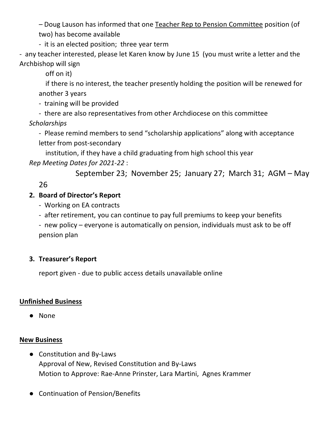*–* Doug Lauson has informed that one Teacher Rep to Pension Committee position (of two) has become available

- it is an elected position; three year term

- any teacher interested, please let Karen know by June 15 (you must write a letter and the Archbishop will sign

off on it)

 if there is no interest, the teacher presently holding the position will be renewed for another 3 years

- training will be provided

- there are also representatives from other Archdiocese on this committee

*Scholarships*

- Please remind members to send "scholarship applications" along with acceptance letter from post-secondary

 institution, if they have a child graduating from high school this year *Rep Meeting Dates for 2021-22* :

September 23; November 25; January 27; March 31; AGM – May

26

# **2. Board of Director's Report**

- Working on EA contracts
- after retirement, you can continue to pay full premiums to keep your benefits
- new policy everyone is automatically on pension, individuals must ask to be off pension plan

# **3. Treasurer's Report**

report given - due to public access details unavailable online

## **Unfinished Business**

● None

## **New Business**

- Constitution and By-Laws Approval of New, Revised Constitution and By-Laws Motion to Approve: Rae-Anne Prinster, Lara Martini, Agnes Krammer
- Continuation of Pension/Benefits